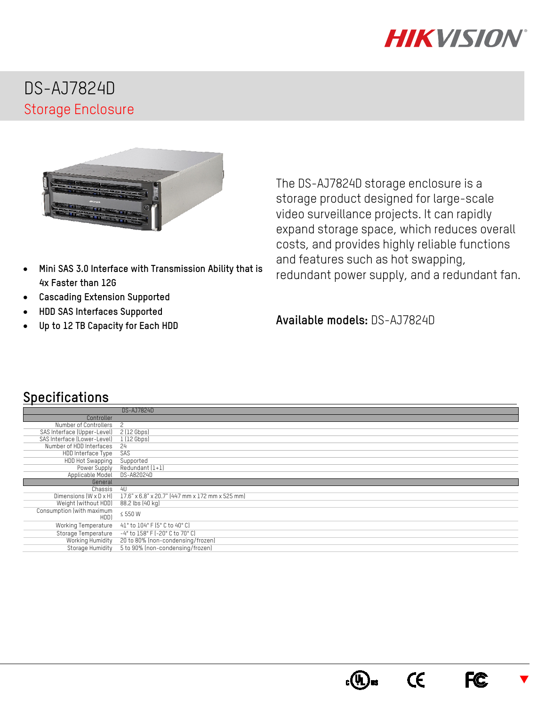

## DS-AJ7824D Storage Enclosure



- **Mini SAS 3.0 Interface with Transmission Ability that is 4x Faster than 12G**
- **Cascading Extension Supported**
- **HDD SAS Interfaces Supported**
- **Up to 12 TB Capacity for Each HDD**

The DS-AJ7824D storage enclosure is a storage product designed for large-scale video surveillance projects. It can rapidly expand storage space, which reduces overall costs, and provides highly reliable functions and features such as hot swapping, redundant power supply, and a redundant fan.

**Available models:** DS-AJ7824D

## **Specifications**

|                             | DS-AJ7824D                                      |
|-----------------------------|-------------------------------------------------|
| Controller                  |                                                 |
| Number of Controllers       | 2                                               |
| SAS Interface (Upper-Level) | 2(12Gbps)                                       |
| SAS Interface (Lower-Level) | 1(12Gbps)                                       |
| Number of HDD Interfaces    | 24                                              |
| HDD Interface Type          | <b>SAS</b>                                      |
| HDD Hot Swapping            | Supported                                       |
| Power Supply                | Redundant (1+1)                                 |
| Applicable Model            | DS-A82024D                                      |
| General                     |                                                 |
| Chassis                     | 4U                                              |
| Dimensions (W x D x H)      | 17.6" x 6.8" x 20.7" (447 mm x 172 mm x 525 mm) |
| Weight (without HDD)        | 88.2 lbs (40 kg)                                |
| Consumption (with maximum   | ≤ 550 W                                         |
| HDD)                        |                                                 |
| Working Temperature         | 41° to 104° F (5° C to 40° C)                   |
| Storage Temperature         | -4° to 158° F (-20° C to 70° C)                 |
| Working Humidity            | 20 to 80% (non-condensing/frozen)               |
| Storage Humidity            | 5 to 90% (non-condensing/frozen)                |



**FC**